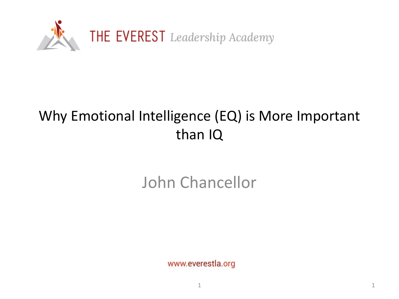

## Why Emotional Intelligence (EQ) is More Important than IQ

# John Chancellor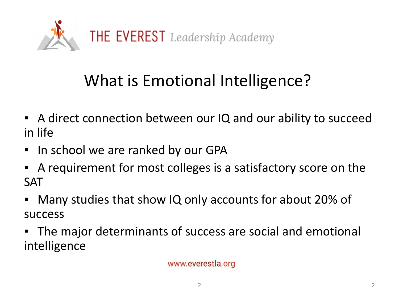

# What is Emotional Intelligence?

- A direct connection between our IQ and our ability to succeed in life
- In school we are ranked by our GPA
- A requirement for most colleges is a satisfactory score on the SAT
- Many studies that show IQ only accounts for about 20% of success
- The major determinants of success are social and emotional intelligence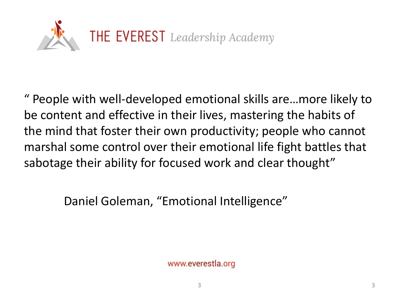

" People with well-developed emotional skills are…more likely to be content and effective in their lives, mastering the habits of the mind that foster their own productivity; people who cannot marshal some control over their emotional life fight battles that sabotage their ability for focused work and clear thought"

Daniel Goleman, "Emotional Intelligence"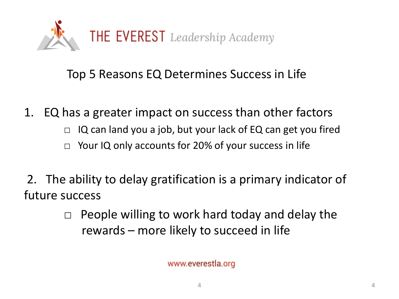

## Top 5 Reasons EQ Determines Success in Life

1. EQ has a greater impact on success than other factors

- $\Box$  IQ can land you a job, but your lack of EQ can get you fired
- $\Box$  Your IQ only accounts for 20% of your success in life
- 2. The ability to delay gratification is a primary indicator of future success
	- $\Box$  People willing to work hard today and delay the rewards – more likely to succeed in life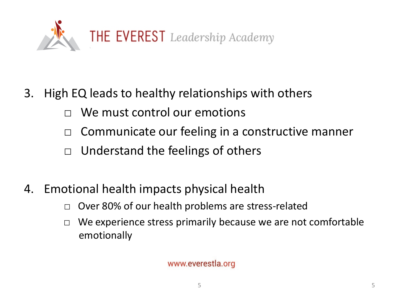

- 3. High EQ leads to healthy relationships with others
	- We must control our emotions
	- □ Communicate our feeling in a constructive manner
	- $\Box$  Understand the feelings of others
- 4. Emotional health impacts physical health
	- □ Over 80% of our health problems are stress-related
	- $\Box$  We experience stress primarily because we are not comfortable emotionally